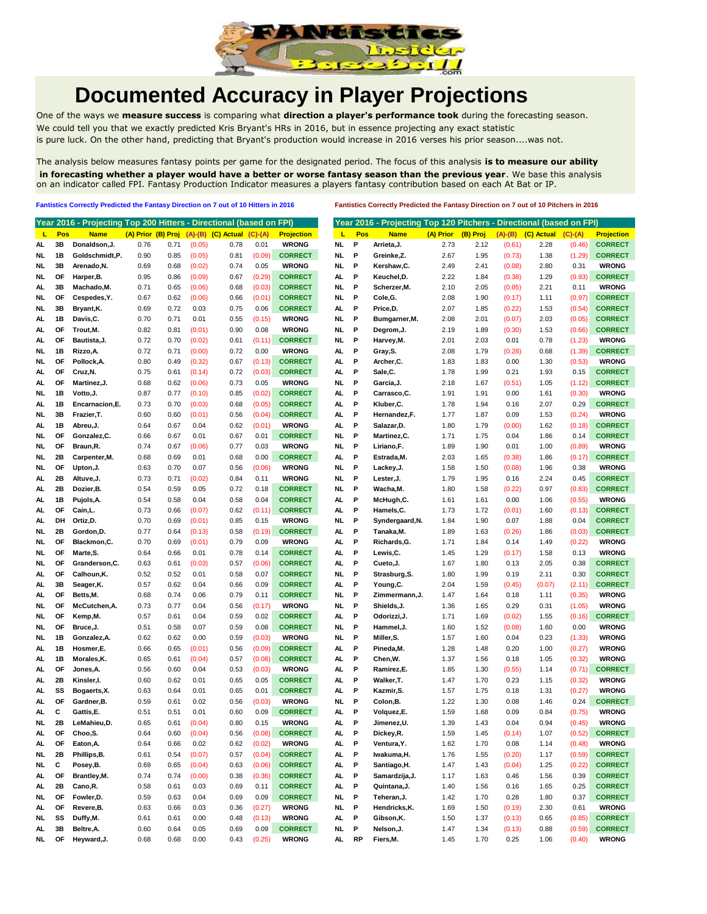

## **Documented Accuracy in Player Projections**

One of the ways we **measure success** is comparing what **direction a player's performance took** during the forecasting season. We could tell you that we exactly predicted Kris Bryant's HRs in 2016, but in essence projecting any exact statistic is pure luck. On the other hand, predicting that Bryant's production would increase in 2016 verses his prior season....was not.

The analysis below measures fantasy points per game for the designated period. The focus of this analysis **is to measure our ability in forecasting whether a player would have a better or worse fantasy season than the previous year**. We base this analysis on an indicator called FPI. Fantasy Production Indicator measures a players fantasy contribution based on each At Bat or IP.

**Fantistics Correctly Predicted the Fantasy Direction on 7 out of 10 Hitters in 2016 Fantistics Correctly Predicted the Fantasy Direction on 7 out of 10 Pitchers in 2016**

|     |           | Year 2016 - Projecting Top 200 Hitters - Directional (based on FPI) |                    |      |        |                            |           |                   |           |              | Year 2016 - Projecting Top 120 Pitchers - Directional (based on FPI) |           |          |           |            |           |                   |
|-----|-----------|---------------------------------------------------------------------|--------------------|------|--------|----------------------------|-----------|-------------------|-----------|--------------|----------------------------------------------------------------------|-----------|----------|-----------|------------|-----------|-------------------|
| L   | Pos       | <b>Name</b>                                                         | (A) Prior (B) Proj |      |        | $(A)$ - $(B)$ $(C)$ Actual | $(C)-(A)$ | <b>Projection</b> | п         | Pos          | <b>Name</b>                                                          | (A) Prior | (B) Proj | $(A)-(B)$ | (C) Actual | $(C)-(A)$ | <b>Projection</b> |
| AL  | 3B        | Donaldson, J.                                                       | 0.76               | 0.71 | (0.05) | 0.78                       | 0.01      | <b>WRONG</b>      | <b>NL</b> | P            | Arrieta, J.                                                          | 2.73      | 2.12     | (0.61)    | 2.28       | (0.46)    | <b>CORRECT</b>    |
| NL  | 1B        | Goldschmidt,P.                                                      | 0.90               | 0.85 | (0.05) | 0.81                       | (0.09)    | <b>CORRECT</b>    | NL.       | P            | Greinke,Z.                                                           | 2.67      | 1.95     | (0.73)    | 1.38       | (1.29)    | <b>CORRECT</b>    |
| NL  | 3B        | Arenado, N.                                                         | 0.69               | 0.68 | (0.02) | 0.74                       | 0.05      | <b>WRONG</b>      | <b>NL</b> | P            | Kershaw,C.                                                           | 2.49      | 2.41     | (0.08)    | 2.80       | 0.31      | <b>WRONG</b>      |
| NL. | OF        | Harper, B.                                                          | 0.95               | 0.86 | (0.09) | 0.67                       | (0.29)    | <b>CORRECT</b>    | AL        | P            | Keuchel,D.                                                           | 2.22      | 1.84     | (0.38)    | 1.29       | (0.93)    | <b>CORRECT</b>    |
| AL  | 3B        | Machado, M.                                                         | 0.71               | 0.65 | (0.06) | 0.68                       | (0.03)    | <b>CORRECT</b>    | NL.       | P            | Scherzer,M.                                                          | 2.10      | 2.05     | (0.05)    | 2.21       | 0.11      | <b>WRONG</b>      |
| NL. | <b>OF</b> | Cespedes, Y.                                                        | 0.67               | 0.62 | (0.06) | 0.66                       | (0.01)    | <b>CORRECT</b>    | NL.       | P            | Cole,G.                                                              | 2.08      | 1.90     | (0.17)    | 1.11       | (0.97)    | <b>CORRECT</b>    |
|     |           |                                                                     |                    |      |        |                            |           |                   |           |              |                                                                      |           |          |           |            |           |                   |
| NL  | 3B        | Bryant, K.                                                          | 0.69               | 0.72 | 0.03   | 0.75                       | 0.06      | <b>CORRECT</b>    | AL        | P            | Price,D.                                                             | 2.07      | 1.85     | (0.22)    | 1.53       | (0.54)    | <b>CORRECT</b>    |
| AL  | 1B        | Davis, C.                                                           | 0.70               | 0.71 | 0.01   | 0.55                       | (0.15)    | <b>WRONG</b>      | <b>NL</b> | P            | Bumgarner, M.                                                        | 2.08      | 2.01     | (0.07)    | 2.03       | (0.05)    | <b>CORRECT</b>    |
| AL  | OF        | Trout, M.                                                           | 0.82               | 0.81 | (0.01) | 0.90                       | 0.08      | <b>WRONG</b>      | NL        | P            | Degrom,J.                                                            | 2.19      | 1.89     | (0.30)    | 1.53       | (0.66)    | <b>CORRECT</b>    |
| AL  | OF        | Bautista, J.                                                        | 0.72               | 0.70 | (0.02) | 0.61                       | (0.11)    | <b>CORRECT</b>    | <b>NL</b> | P            | Harvey,M.                                                            | 2.01      | 2.03     | 0.01      | 0.78       | (1.23)    | <b>WRONG</b>      |
| NL. | 1B        | Rizzo.A.                                                            | 0.72               | 0.71 | (0.00) | 0.72                       | 0.00      | <b>WRONG</b>      | AL.       | P            | Gray,S.                                                              | 2.08      | 1.79     | (0.28)    | 0.68       | (1.39)    | <b>CORRECT</b>    |
| NL  | OF        | Pollock, A.                                                         | 0.80               | 0.49 | (0.32) | 0.67                       | (0.13)    | <b>CORRECT</b>    | AL        | P            | Archer,C.                                                            | 1.83      | 1.83     | 0.00      | 1.30       | (0.53)    | <b>WRONG</b>      |
| AL  | ΟF        | Cruz, N.                                                            | 0.75               | 0.61 | (0.14) | 0.72                       | (0.03)    | <b>CORRECT</b>    | AL        | Р            | Sale,C.                                                              | 1.78      | 1.99     | 0.21      | 1.93       | 0.15      | <b>CORRECT</b>    |
| AL  | OF        | Martinez, J.                                                        | 0.68               | 0.62 | (0.06) | 0.73                       | 0.05      | <b>WRONG</b>      | NL.       | Р            | Garcia,J.                                                            | 2.18      | 1.67     | (0.51)    | 1.05       | (1.12)    | <b>CORRECT</b>    |
| NL  | 1B        | Votto, J.                                                           | 0.87               | 0.77 | (0.10) | 0.85                       | (0.02)    | <b>CORRECT</b>    | AL        | P            | Carrasco,C.                                                          | 1.91      | 1.91     | 0.00      | 1.61       | (0.30)    | <b>WRONG</b>      |
| AL  | 1B        | Encarnacion, E.                                                     | 0.73               | 0.70 | (0.03) | 0.68                       | (0.05)    | <b>CORRECT</b>    | AL        | P            | Kluber, C.                                                           | 1.78      | 1.94     | 0.16      | 2.07       | 0.29      | <b>CORRECT</b>    |
| NL  | 3B        | Frazier, T.                                                         | 0.60               | 0.60 | (0.01) | 0.56                       | (0.04)    | <b>CORRECT</b>    | AL        | Р            | Hernandez,F.                                                         | 1.77      | 1.87     | 0.09      | 1.53       | (0.24)    | <b>WRONG</b>      |
|     |           |                                                                     |                    |      |        |                            |           |                   |           |              |                                                                      |           |          |           |            |           |                   |
| AL. | 1В        | Abreu, J.                                                           | 0.64               | 0.67 | 0.04   | 0.62                       | (0.01)    | <b>WRONG</b>      | AL.       | Р            | Salazar,D.                                                           | 1.80      | 1.79     | (0.00)    | 1.62       | (0.18)    | <b>CORRECT</b>    |
| NL  | OF        | Gonzalez, C.                                                        | 0.66               | 0.67 | 0.01   | 0.67                       | 0.01      | <b>CORRECT</b>    | NL        | Р            | Martinez,C.                                                          | 1.71      | 1.75     | 0.04      | 1.86       | 0.14      | <b>CORRECT</b>    |
| NL. | <b>OF</b> | Braun, R.                                                           | 0.74               | 0.67 | (0.06) | 0.77                       | 0.03      | <b>WRONG</b>      | NL.       | P            | Liriano, F.                                                          | 1.89      | 1.90     | 0.01      | 1.00       | (0.89)    | <b>WRONG</b>      |
| NL  | 2B        | Carpenter, M.                                                       | 0.68               | 0.69 | 0.01   | 0.68                       | 0.00      | <b>CORRECT</b>    | AL        | Р            | Estrada,M.                                                           | 2.03      | 1.65     | (0.38)    | 1.86       | (0.17)    | <b>CORRECT</b>    |
| NL  | OF        | Upton, J.                                                           | 0.63               | 0.70 | 0.07   | 0.56                       | (0.06)    | <b>WRONG</b>      | <b>NL</b> | P            | Lackey, J.                                                           | 1.58      | 1.50     | (0.08)    | 1.96       | 0.38      | <b>WRONG</b>      |
| AL  | 2B        | Altuve, J.                                                          | 0.73               | 0.71 | (0.02) | 0.84                       | 0.11      | <b>WRONG</b>      | NL.       | P            | Lester, J.                                                           | 1.79      | 1.95     | 0.16      | 2.24       | 0.45      | <b>CORRECT</b>    |
| AL  | 2B        | Dozier, B.                                                          | 0.54               | 0.59 | 0.05   | 0.72                       | 0.18      | <b>CORRECT</b>    | NL        | P            | Wacha,M.                                                             | 1.80      | 1.58     | (0.22)    | 0.97       | (0.83)    | <b>CORRECT</b>    |
| AL  | 1B        | Pujols, A.                                                          | 0.54               | 0.58 | 0.04   | 0.58                       | 0.04      | <b>CORRECT</b>    | AL        | P            | McHugh,C.                                                            | 1.61      | 1.61     | 0.00      | 1.06       | (0.55)    | <b>WRONG</b>      |
| AL  | ΟF        | Cain, L.                                                            | 0.73               | 0.66 | (0.07) | 0.62                       | (0.11)    | <b>CORRECT</b>    | AL.       | Р            | Hamels, C.                                                           | 1.73      | 1.72     | (0.01)    | 1.60       | (0.13)    | <b>CORRECT</b>    |
| AL. | DH        | Ortiz,D.                                                            | 0.70               | 0.69 | (0.01) | 0.85                       | 0.15      | <b>WRONG</b>      | NL.       | P            | Syndergaard,N.                                                       | 1.84      | 1.90     | 0.07      | 1.88       | 0.04      | <b>CORRECT</b>    |
| NL  | 2B        | Gordon, D.                                                          | 0.77               | 0.64 | (0.13) | 0.58                       | (0.19)    | <b>CORRECT</b>    | AL        | Р            | Tanaka, M.                                                           | 1.89      | 1.63     | (0.26)    | 1.86       | (0.03)    | <b>CORRECT</b>    |
| NL  | ΟF        | Blackmon, C.                                                        | 0.70               | 0.69 | (0.01) | 0.79                       | 0.09      | <b>WRONG</b>      | AL        | Р            | Richards,G.                                                          | 1.71      | 1.84     | 0.14      | 1.49       | (0.22)    | <b>WRONG</b>      |
|     | OF        | Marte, S.                                                           | 0.64               | 0.66 | 0.01   | 0.78                       | 0.14      | <b>CORRECT</b>    | AL.       | P            | Lewis,C.                                                             | 1.45      | 1.29     | (0.17)    | 1.58       | 0.13      | <b>WRONG</b>      |
| NL  |           |                                                                     |                    |      |        |                            |           |                   |           |              |                                                                      |           |          |           |            |           |                   |
| NL  | OF        | Granderson, C.                                                      | 0.63               | 0.61 | (0.03) | 0.57                       | (0.06)    | <b>CORRECT</b>    | AL        | P            | Cueto, J.                                                            | 1.67      | 1.80     | 0.13      | 2.05       | 0.38      | <b>CORRECT</b>    |
| AL  | OF        | Calhoun, K.                                                         | 0.52               | 0.52 | 0.01   | 0.58                       | 0.07      | <b>CORRECT</b>    | NL        | P            | Strasburg,S.                                                         | 1.80      | 1.99     | 0.19      | 2.11       | 0.30      | <b>CORRECT</b>    |
| AL  | 3В        | Seager, K.                                                          | 0.57               | 0.62 | 0.04   | 0.66                       | 0.09      | <b>CORRECT</b>    | AL        | Р            | Young,C.                                                             | 2.04      | 1.59     | (0.45)    | (0.07)     | (2.11)    | <b>CORRECT</b>    |
| AL. | OF        | Betts, M.                                                           | 0.68               | 0.74 | 0.06   | 0.79                       | 0.11      | <b>CORRECT</b>    | NL        | Р            | Zimmermann,J.                                                        | 1.47      | 1.64     | 0.18      | 1.11       | (0.35)    | <b>WRONG</b>      |
| NL  | OF        | McCutchen, A.                                                       | 0.73               | 0.77 | 0.04   | 0.56                       | (0.17)    | <b>WRONG</b>      | NL.       | P            | Shields,J.                                                           | 1.36      | 1.65     | 0.29      | 0.31       | (1.05)    | <b>WRONG</b>      |
| NL. | <b>OF</b> | Kemp,M.                                                             | 0.57               | 0.61 | 0.04   | 0.59                       | 0.02      | <b>CORRECT</b>    | AL        | Р            | Odorizzi,J.                                                          | 1.71      | 1.69     | (0.02)    | 1.55       | (0.16)    | <b>CORRECT</b>    |
| NL  | OF        | Bruce, J.                                                           | 0.51               | 0.58 | 0.07   | 0.59                       | 0.08      | <b>CORRECT</b>    | <b>NL</b> | P            | Hammel,J.                                                            | 1.60      | 1.52     | (0.08)    | 1.60       | 0.00      | <b>WRONG</b>      |
| NL  | 1B        | Gonzalez, A.                                                        | 0.62               | 0.62 | 0.00   | 0.59                       | (0.03)    | <b>WRONG</b>      | <b>NL</b> | Р            | Miller, S.                                                           | 1.57      | 1.60     | 0.04      | 0.23       | (1.33)    | <b>WRONG</b>      |
| AL  | 1B        | Hosmer,E.                                                           | 0.66               | 0.65 | (0.01) | 0.56                       | (0.09)    | <b>CORRECT</b>    | AL        | P            | Pineda,M.                                                            | 1.28      | 1.48     | 0.20      | 1.00       | (0.27)    | <b>WRONG</b>      |
| AL  | 1Β        | Morales, K.                                                         | 0.65               | 0.61 | (0.04) | 0.57                       | (0.08)    | <b>CORRECT</b>    | AL        | P            | Chen, W.                                                             | 1.37      | 1.56     | 0.18      | 1.05       | (0.32)    | <b>WRONG</b>      |
| AL. | ΟF        | Jones,A.                                                            | 0.56               | 0.60 | 0.04   | 0.53                       | (0.03)    | <b>WRONG</b>      | AL.       | P            | Ramirez,E.                                                           | 1.85      | 1.30     | (0.55)    | 1.14       | (0.71)    | <b>CORRECT</b>    |
| AL  | 2Β        | Kinsler,I.                                                          | 0.60               | 0.62 | 0.01   | 0.65                       | 0.05      | <b>CORRECT</b>    | AL        | P            | Walker, T.                                                           | 1.47      | 1.70     | 0.23      | 1.15       | (0.32)    | <b>WRONG</b>      |
|     |           |                                                                     |                    |      |        |                            |           |                   |           |              |                                                                      |           |          |           |            |           |                   |
| AL  | SS        | Bogaerts, X.                                                        | 0.63               | 0.64 | 0.01   | 0.65                       | 0.01      | <b>CORRECT</b>    | AL        | Р            | Kazmir,S.                                                            | 1.57      | 1.75     | 0.18      | 1.31       | (0.27)    | <b>WRONG</b>      |
| AL  | OF        | Gardner, B.                                                         | 0.59               | 0.61 | 0.02   | 0.56                       | (0.03)    | <b>WRONG</b>      | <b>NL</b> | P            | Colon, B.                                                            | 1.22      | 1.30     | 0.08      | 1.46       | 0.24      | <b>CORRECT</b>    |
| AL  | с         | Gattis,E.                                                           | 0.51               | 0.51 | 0.01   | 0.60                       | 0.09      | <b>CORRECT</b>    | AL.       | Р            | Volquez,E.                                                           | 1.59      | 1.68     | 0.09      | 0.84       | (0.75)    | <b>WRONG</b>      |
| NL. | 2B        | LeMahieu,D.                                                         | 0.65               | 0.61 | (0.04) | 0.80                       | 0.15      | <b>WRONG</b>      | AL.       | P            | Jimenez,U.                                                           | 1.39      | 1.43     | 0.04      | 0.94       | (0.45)    | <b>WRONG</b>      |
| AL. | OF        | Choo,S.                                                             | 0.64               | 0.60 | (0.04) | 0.56                       | (0.08)    | <b>CORRECT</b>    | AL        | P            | Dickey,R.                                                            | 1.59      | 1.45     | (0.14)    | 1.07       | (0.52)    | <b>CORRECT</b>    |
| AL. | OF        | Eaton, A.                                                           | 0.64               | 0.66 | 0.02   | 0.62                       | (0.02)    | <b>WRONG</b>      | AL        | - P          | Ventura, Y.                                                          | 1.62      | 1.70     | 0.08      | 1.14       | (0.48)    | <b>WRONG</b>      |
| NL  | 2B        | Phillips, B.                                                        | 0.61               | 0.54 | (0.07) | 0.57                       | (0.04)    | <b>CORRECT</b>    | AL.       | P            | Iwakuma, H.                                                          | 1.76      | 1.55     | (0.20)    | 1.17       | (0.59)    | <b>CORRECT</b>    |
| NL. | С         | Posey, B.                                                           | 0.69               | 0.65 | (0.04) | 0.63                       | (0.06)    | <b>CORRECT</b>    | AL.       | P            | Santiago, H.                                                         | 1.47      | 1.43     | (0.04)    | 1.25       | (0.22)    | <b>CORRECT</b>    |
| AL. | OF        | Brantley, M.                                                        | 0.74               | 0.74 | (0.00) | 0.38                       | (0.36)    | <b>CORRECT</b>    | AL.       | P            | Samardzija, J.                                                       | 1.17      | 1.63     | 0.46      | 1.56       | 0.39      | <b>CORRECT</b>    |
| AL. | 2B        | Cano, R.                                                            | 0.58               | 0.61 | 0.03   | 0.69                       | 0.11      | <b>CORRECT</b>    | AL.       | P            | Quintana, J.                                                         | 1.40      | 1.56     | 0.16      | 1.65       | 0.25      | <b>CORRECT</b>    |
| NL. | OF        | Fowler, D.                                                          | 0.59               | 0.63 | 0.04   | 0.69                       | 0.09      | <b>CORRECT</b>    | <b>NL</b> | $\mathbf{P}$ | Teheran, J.                                                          | 1.42      | 1.70     | 0.28      | 1.80       | 0.37      | <b>CORRECT</b>    |
| AL  | OF        | Revere, B.                                                          | 0.63               | 0.66 | 0.03   | 0.36                       | (0.27)    | <b>WRONG</b>      | <b>NL</b> | $\mathbf P$  | Hendricks, K.                                                        | 1.69      | 1.50     | (0.19)    | 2.30       | 0.61      | <b>WRONG</b>      |
|     | SS        |                                                                     |                    |      |        | 0.48                       | (0.13)    | <b>WRONG</b>      | AL.       | P            | Gibson, K.                                                           | 1.50      | 1.37     |           | 0.65       | (0.85)    |                   |
| NL  |           | Duffy,M.                                                            | 0.61               | 0.61 | 0.00   |                            |           |                   |           |              |                                                                      |           |          | (0.13)    |            |           | <b>CORRECT</b>    |
| AL. | 3B        | Beltre, A.                                                          | 0.60               | 0.64 | 0.05   | 0.69                       | 0.09      | <b>CORRECT</b>    | <b>NL</b> | P            | Nelson, J.                                                           | 1.47      | 1.34     | (0.13)    | 0.88       | (0.59)    | <b>CORRECT</b>    |
| NL. | <b>OF</b> | Hevward.J.                                                          | 0.68               | 0.68 | 0.00   | 0.43                       | (0.25)    | <b>WRONG</b>      | AL RP     |              | Fiers, M.                                                            | 1.45      | 1.70     | 0.25      | 1.06       | (0.40)    | <b>WRONG</b>      |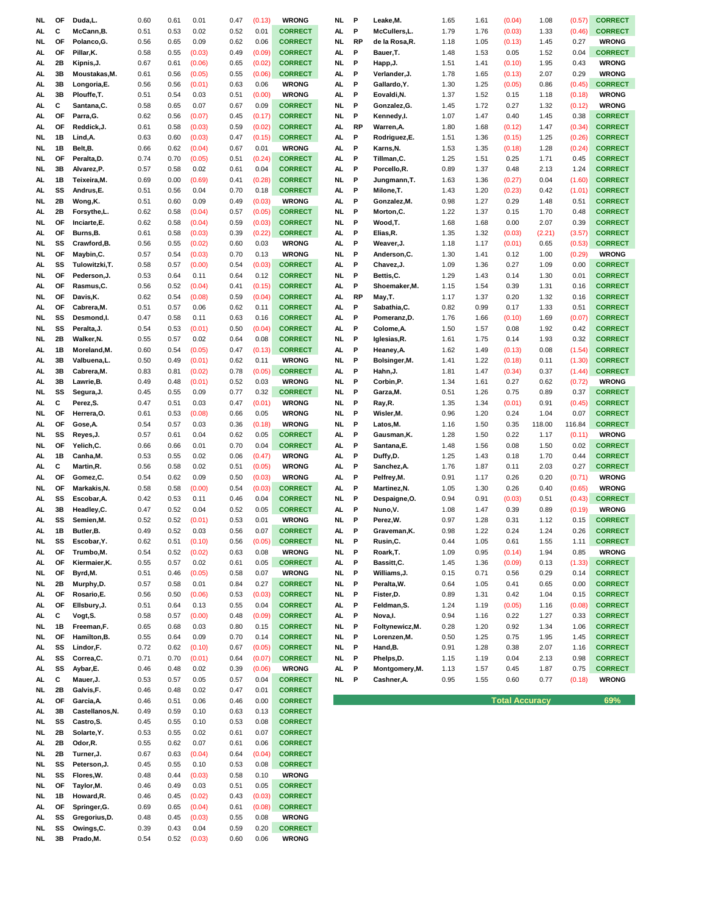| NL  | OF        | Duda,L.         | 0.60         | 0.61 | 0.01   | 0.47 | (0.13)       | <b>WRONG</b>   | NL        | P         | Leake,M.        | 1.65 | 1.61 | (0.04)                | 1.08   | (0.57) | <b>CORRECT</b> |
|-----|-----------|-----------------|--------------|------|--------|------|--------------|----------------|-----------|-----------|-----------------|------|------|-----------------------|--------|--------|----------------|
| AL. | С         | McCann, B.      | 0.51         | 0.53 | 0.02   | 0.52 | 0.01         | <b>CORRECT</b> | AL.       | P         | McCullers, L.   | 1.79 | 1.76 | (0.03)                | 1.33   | (0.46) | <b>CORRECT</b> |
| NL  | OF        | Polanco, G.     | 0.56         | 0.65 | 0.09   | 0.62 | 0.06         | <b>CORRECT</b> | NL        | <b>RP</b> | de la Rosa, R.  | 1.18 | 1.05 | (0.13)                | 1.45   | 0.27   | <b>WRONG</b>   |
|     | OF        | Pillar, K.      | 0.58         |      |        |      |              | <b>CORRECT</b> | AL.       | P         | Bauer, T.       | 1.48 | 1.53 | 0.05                  | 1.52   | 0.04   | <b>CORRECT</b> |
| AL  |           |                 |              | 0.55 | (0.03) | 0.49 | (0.09)       |                |           |           |                 |      |      |                       |        |        |                |
| AL  | 2B        | Kipnis, J.      | 0.67         | 0.61 | (0.06) | 0.65 | (0.02)       | <b>CORRECT</b> | NI.       | P         | Happ, J.        | 1.51 | 1.41 | (0.10)                | 1.95   | 0.43   | <b>WRONG</b>   |
| AL  | 3B        | Moustakas, M.   | 0.61         | 0.56 | (0.05) | 0.55 | (0.06)       | <b>CORRECT</b> | AL.       | P         | Verlander, J.   | 1.78 | 1.65 | (0.13)                | 2.07   | 0.29   | <b>WRONG</b>   |
| AL  | 3B        | Longoria,E.     | 0.56         | 0.56 | (0.01) | 0.63 | 0.06         | <b>WRONG</b>   | AL.       | P         | Gallardo, Y.    | 1.30 | 1.25 | (0.05)                | 0.86   | (0.45) | <b>CORRECT</b> |
| AL  | 3B        | Plouffe, T.     | 0.51         | 0.54 | 0.03   | 0.51 | (0.00)       | <b>WRONG</b>   | AL.       | P         | Eovaldi, N.     | 1.37 | 1.52 | 0.15                  | 1.18   | (0.18) | <b>WRONG</b>   |
| AL. | c         | Santana, C.     | 0.58         | 0.65 | 0.07   | 0.67 | 0.09         | <b>CORRECT</b> | NL        | P         | Gonzalez, G.    | 1.45 | 1.72 | 0.27                  | 1.32   | (0.12) | <b>WRONG</b>   |
|     |           |                 |              |      |        |      |              |                |           |           |                 |      |      |                       |        |        |                |
| AL. | OF        | Parra, G.       | 0.62         | 0.56 | (0.07) | 0.45 | (0.17)       | <b>CORRECT</b> | NL        | P         | Kennedy,l.      | 1.07 | 1.47 | 0.40                  | 1.45   | 0.38   | <b>CORRECT</b> |
| AL. | OF        | Reddick, J.     | 0.61         | 0.58 | (0.03) | 0.59 | (0.02)       | <b>CORRECT</b> | AL.       | RP        | Warren, A.      | 1.80 | 1.68 | (0.12)                | 1.47   | (0.34) | <b>CORRECT</b> |
| NL  | 1B        | Lind, A.        | 0.63         | 0.60 | (0.03) | 0.47 | (0.15)       | <b>CORRECT</b> | AL.       | P         | Rodriguez,E.    | 1.51 | 1.36 | (0.15)                | 1.25   | (0.26) | <b>CORRECT</b> |
| NL. | 1B        | Belt, B.        | 0.66         | 0.62 | (0.04) | 0.67 | 0.01         | <b>WRONG</b>   | AL        | P         | Karns, N.       | 1.53 | 1.35 | (0.18)                | 1.28   | (0.24) | <b>CORRECT</b> |
| NL. | OF        | Peralta, D.     | 0.74         | 0.70 | (0.05) | 0.51 | (0.24)       | <b>CORRECT</b> | AL.       | P         | Tillman,C.      | 1.25 | 1.51 | 0.25                  | 1.71   | 0.45   | <b>CORRECT</b> |
|     |           |                 |              |      |        |      |              |                |           |           |                 |      |      |                       |        |        |                |
| NL. | 3B        | Alvarez, P.     | 0.57         | 0.58 | 0.02   | 0.61 | 0.04         | <b>CORRECT</b> | AL.       | P         | Porcello,R      | 0.89 | 1.37 | 0.48                  | 2.13   | 1.24   | <b>CORRECT</b> |
| AL. | 1B        | Teixeira, M.    | 0.69         | 0.00 | (0.69) | 0.41 | (0.28)       | <b>CORRECT</b> | NL        | P         | Jungmann, T.    | 1.63 | 1.36 | (0.27)                | 0.04   | (1.60) | <b>CORRECT</b> |
| AL. | SS        | Andrus,E.       | 0.51         | 0.56 | 0.04   | 0.70 | 0.18         | <b>CORRECT</b> | AL.       | P         | Milone, T.      | 1.43 | 1.20 | (0.23)                | 0.42   | (1.01) | <b>CORRECT</b> |
| NL  | 2B        | Wong,K.         | 0.51         | 0.60 | 0.09   | 0.49 | (0.03)       | <b>WRONG</b>   | AL.       | P         | Gonzalez, M.    | 0.98 | 1.27 | 0.29                  | 1.48   | 0.51   | <b>CORRECT</b> |
| AL  | 2B        | Forsythe,L.     | 0.62         | 0.58 | (0.04) | 0.57 | (0.05)       | <b>CORRECT</b> | NL        | P         | Morton, C.      | 1.22 | 1.37 | 0.15                  | 1.70   | 0.48   | <b>CORRECT</b> |
|     |           |                 |              |      |        |      |              |                |           |           |                 |      |      |                       |        |        |                |
| NL  | OF        | Inciarte,E.     | 0.62         | 0.58 | (0.04) | 0.59 | (0.03)       | <b>CORRECT</b> | NL        | P         | Wood,T.         | 1.68 | 1.68 | 0.00                  | 2.07   | 0.39   | <b>CORRECT</b> |
| AL  | OF        | Burns, B.       | 0.61         | 0.58 | (0.03) | 0.39 | (0.22)       | <b>CORRECT</b> | AL.       | P         | Elias, R.       | 1.35 | 1.32 | (0.03)                | (2.21) | (3.57) | <b>CORRECT</b> |
| NL  | SS        | Crawford, B.    | 0.56         | 0.55 | (0.02) | 0.60 | 0.03         | <b>WRONG</b>   | AL.       | P         | Weaver, J.      | 1.18 | 1.17 | (0.01)                | 0.65   | (0.53) | <b>CORRECT</b> |
| NL  | OF        | Maybin, C.      | 0.57         | 0.54 | (0.03) | 0.70 | 0.13         | <b>WRONG</b>   | NL        | P         | Anderson, C.    | 1.30 | 1.41 | 0.12                  | 1.00   | (0.29) | <b>WRONG</b>   |
| AL. | SS        | Tulowitzki,T.   | 0.58         | 0.57 | (0.00) | 0.54 | (0.03)       | <b>CORRECT</b> | AL.       | P         | Chavez, J.      | 1.09 | 1.36 | 0.27                  | 1.09   | 0.00   | <b>CORRECT</b> |
|     |           |                 |              |      |        |      |              |                |           |           |                 |      |      |                       |        |        |                |
| NL  | OF        | Pederson, J.    | 0.53         | 0.64 | 0.11   | 0.64 | 0.12         | <b>CORRECT</b> | NL        | P         | Bettis, C.      | 1.29 | 1.43 | 0.14                  | 1.30   | 0.01   | <b>CORRECT</b> |
| AL. | <b>OF</b> | Rasmus,C.       | 0.56         | 0.52 | (0.04) | 0.41 | (0.15)       | <b>CORRECT</b> | AL.       | P         | Shoemaker, M.   | 1.15 | 1.54 | 0.39                  | 1.31   | 0.16   | <b>CORRECT</b> |
| NL  | <b>OF</b> | Davis, K.       | 0.62         | 0.54 | (0.08) | 0.59 | (0.04)       | <b>CORRECT</b> | AL.       | RP        | May, T.         | 1.17 | 1.37 | 0.20                  | 1.32   | 0.16   | <b>CORRECT</b> |
| AL  | OF        | Cabrera, M.     | 0.51         | 0.57 | 0.06   | 0.62 | 0.11         | <b>CORRECT</b> | AL.       | P         | Sabathia, C.    | 0.82 | 0.99 | 0.17                  | 1.33   | 0.51   | <b>CORRECT</b> |
| NL. | SS        | Desmond,I.      | 0.47         | 0.58 | 0.11   | 0.63 | 0.16         | <b>CORRECT</b> | AL.       | P         | Pomeranz, D.    | 1.76 | 1.66 | (0.10)                | 1.69   | (0.07) | <b>CORRECT</b> |
|     |           |                 |              |      |        |      |              |                |           |           |                 |      |      |                       |        |        |                |
| NL. | SS        | Peralta, J.     | 0.54         | 0.53 | (0.01) | 0.50 | (0.04)       | <b>CORRECT</b> | AL        | P         | Colome, A.      | 1.50 | 1.57 | 0.08                  | 1.92   | 0.42   | <b>CORRECT</b> |
| NL  | 2B        | Walker, N.      | 0.55         | 0.57 | 0.02   | 0.64 | 0.08         | <b>CORRECT</b> | NI.       | P         | Iglesias, R.    | 1.61 | 1.75 | 0.14                  | 1.93   | 0.32   | <b>CORRECT</b> |
| AL. | 1B        | Moreland, M.    | 0.60         | 0.54 | (0.05) | 0.47 | (0.13)       | <b>CORRECT</b> | AL.       | P         | Heaney, A.      | 1.62 | 1.49 | (0.13)                | 0.08   | (1.54) | <b>CORRECT</b> |
| AL  | 3B        | Valbuena,L.     | 0.50         | 0.49 | (0.01) | 0.62 | 0.11         | <b>WRONG</b>   | NI.       | P         | Bolsinger, M.   | 1.41 | 1.22 | (0.18)                | 0.11   | (1.30) | <b>CORRECT</b> |
|     | 3B        |                 | 0.83         |      |        |      |              | <b>CORRECT</b> | AL.       | P         | Hahn, J.        | 1.81 | 1.47 |                       |        |        | <b>CORRECT</b> |
| AL  |           | Cabrera, M.     |              | 0.81 | (0.02) | 0.78 | (0.05)       |                |           |           |                 |      |      | (0.34)                | 0.37   | (1.44) |                |
| AL  | 3B        | Lawrie, B.      | 0.49         | 0.48 | (0.01) | 0.52 | 0.03         | <b>WRONG</b>   | NL        | P         | Corbin,P.       | 1.34 | 1.61 | 0.27                  | 0.62   | (0.72) | <b>WRONG</b>   |
| NL  | SS        | Segura, J.      | 0.45         | 0.55 | 0.09   | 0.77 | 0.32         | <b>CORRECT</b> | NL        | P         | Garza, M.       | 0.51 | 1.26 | 0.75                  | 0.89   | 0.37   | <b>CORRECT</b> |
| AL  | c         | Perez, S.       | 0.47         | 0.51 | 0.03   | 0.47 | (0.01)       | <b>WRONG</b>   | NL        | P         | Ray,R.          | 1.35 | 1.34 | (0.01)                | 0.91   | (0.45) | <b>CORRECT</b> |
| NL. | OF        | Herrera, O.     | 0.61         | 0.53 | (0.08) | 0.66 | 0.05         | <b>WRONG</b>   | NL        | P         | Wisler, M.      | 0.96 | 1.20 | 0.24                  | 1.04   | 0.07   | <b>CORRECT</b> |
| AL. | OF        | Gose, A.        | 0.54         | 0.57 | 0.03   | 0.36 | (0.18)       | <b>WRONG</b>   | NL        | P         | Latos, M.       | 1.16 | 1.50 | 0.35                  | 118.00 | 116.84 | <b>CORRECT</b> |
|     |           |                 |              |      |        |      |              |                |           |           |                 |      |      |                       |        |        |                |
| NL  | SS        | Reyes, J.       | 0.57         | 0.61 | 0.04   | 0.62 | 0.05         | <b>CORRECT</b> | AL.       | P         | Gausman, K.     | 1.28 | 1.50 | 0.22                  | 1.17   | (0.11) | <b>WRONG</b>   |
| NL  | <b>OF</b> | Yelich, C.      | 0.66         | 0.66 | 0.01   | 0.70 | 0.04         | <b>CORRECT</b> | AL.       | P         | Santana, E.     | 1.48 | 1.56 | 0.08                  | 1.50   | 0.02   | <b>CORRECT</b> |
|     | 1B        | Canha, M.       | 0.53         | 0.55 | 0.02   | 0.06 | (0.47)       | <b>WRONG</b>   | AL.       | P         | Duffy,D.        | 1.25 | 1.43 | 0.18                  | 1.70   | 0.44   | <b>CORRECT</b> |
| AL. |           |                 |              |      |        |      |              | <b>WRONG</b>   | AL        | P         | Sanchez, A.     | 1.76 | 1.87 | 0.11                  | 2.03   | 0.27   | <b>CORRECT</b> |
| AL  | C         | Martin, R.      | 0.56         | 0.58 | 0.02   | 0.51 | (0.05)       |                |           | P         |                 |      |      |                       |        |        |                |
|     |           |                 |              |      |        |      |              |                |           |           |                 |      |      |                       |        |        |                |
| AL. | OF        | Gomez,C.        | 0.54         | 0.62 | 0.09   | 0.50 | (0.03)       | <b>WRONG</b>   | AL.       |           | Pelfrey, M.     | 0.91 | 1.17 | 0.26                  | 0.20   | (0.71) | <b>WRONG</b>   |
| NL  | OF        | Markakis, N.    | 0.58         | 0.58 | (0.00) | 0.54 | (0.03)       | <b>CORRECT</b> | AL.       | P         | Martinez, N.    | 1.05 | 1.30 | 0.26                  | 0.40   | (0.65) | <b>WRONG</b>   |
| AL. | SS        | Escobar, A.     | 0.42         | 0.53 | 0.11   | 0.46 | 0.04         | <b>CORRECT</b> | NL        | P         | Despaigne, O.   | 0.94 | 0.91 | (0.03)                | 0.51   | (0.43) | <b>CORRECT</b> |
| AL  | 3B        | Headley, C.     | 0.47         | 0.52 | 0.04   | 0.52 | 0.05         | <b>CORRECT</b> | AL.       | P         | Nuno, V.        | 1.08 | 1.47 | 0.39                  | 0.89   | (0.19) | <b>WRONG</b>   |
| AL  | SS        | Semien, M.      | 0.52         | 0.52 | (0.01) | 0.53 | 0.01         | <b>WRONG</b>   | NL        | P         | Perez, W.       | 0.97 | 1.28 | 0.31                  | 1.12   | 0.15   | <b>CORRECT</b> |
|     |           |                 |              |      |        |      |              |                |           |           |                 |      |      |                       |        |        |                |
| AL. | 1B        | Butler, B.      | 0.49         | 0.52 | 0.03   | 0.56 | 0.07         | <b>CORRECT</b> | AL.       | P         | Graveman, K.    | 0.98 | 1.22 | 0.24                  | 1.24   | 0.26   | <b>CORRECT</b> |
| NL  | SS        | Escobar, Y.     | 0.62         | 0.51 | (0.10) | 0.56 | (0.05)       | <b>CORRECT</b> | <b>NL</b> | P         | Rusin, C.       | 0.44 | 1.05 | 0.61                  | 1.55   | 1.11   | <b>CORRECT</b> |
| AL  | OF        | Trumbo,M.       | 0.54         | 0.52 | (0.02) | 0.63 | 0.08         | <b>WRONG</b>   | NL        | P         | Roark, T.       | 1.09 | 0.95 | (0.14)                | 1.94   | 0.85   | <b>WRONG</b>   |
| AL  | OF        | Kiermaier, K.   | 0.55         | 0.57 | 0.02   | 0.61 | 0.05         | <b>CORRECT</b> | AL        | P         | Bassitt, C.     | 1.45 | 1.36 | (0.09)                | 0.13   | (1.33) | <b>CORRECT</b> |
| NL  | OF        | Byrd, M.        | 0.51         | 0.46 | (0.05) | 0.58 | 0.07         | <b>WRONG</b>   | <b>NL</b> | P         | Williams, J.    | 0.15 | 0.71 | 0.56                  | 0.29   | 0.14   | <b>CORRECT</b> |
|     | 2B        |                 |              | 0.58 |        | 0.84 |              | <b>CORRECT</b> |           | P         |                 |      |      |                       |        |        |                |
| NL  |           | Murphy,D.       | 0.57         |      | 0.01   |      | 0.27         |                | <b>NL</b> |           | Peralta, W.     | 0.64 | 1.05 | 0.41                  | 0.65   | 0.00   | <b>CORRECT</b> |
| AL  | OF        | Rosario,E.      | 0.56         | 0.50 | (0.06) | 0.53 | (0.03)       | <b>CORRECT</b> | <b>NL</b> | P         | Fister, D.      | 0.89 | 1.31 | 0.42                  | 1.04   | 0.15   | <b>CORRECT</b> |
| AL  | OF        | Ellsbury, J.    | 0.51         | 0.64 | 0.13   | 0.55 | 0.04         | <b>CORRECT</b> | AL.       | P         | Feldman, S.     | 1.24 | 1.19 | (0.05)                | 1.16   | (0.08) | <b>CORRECT</b> |
| AL  | с         | Vogt, S.        | 0.58         | 0.57 | (0.00) | 0.48 | (0.09)       | <b>CORRECT</b> | AL.       | P         | Nova, I.        | 0.94 | 1.16 | 0.22                  | 1.27   | 0.33   | <b>CORRECT</b> |
| NL  | 1B        | Freeman, F.     | 0.65         | 0.68 | 0.03   | 0.80 | 0.15         | <b>CORRECT</b> | <b>NL</b> | P         | Foltynewicz, M. | 0.28 | 1.20 | 0.92                  | 1.34   | 1.06   | <b>CORRECT</b> |
|     |           |                 |              |      |        |      |              |                |           |           |                 |      |      |                       |        |        |                |
| NL  | OF        | Hamilton, B.    | 0.55         | 0.64 | 0.09   | 0.70 | 0.14         | <b>CORRECT</b> | <b>NL</b> | P         | Lorenzen, M.    | 0.50 | 1.25 | 0.75                  | 1.95   | 1.45   | <b>CORRECT</b> |
| AL  | SS        | Lindor,F.       | 0.72         | 0.62 | (0.10) | 0.67 | (0.05)       | <b>CORRECT</b> | <b>NL</b> | P         | Hand, B.        | 0.91 | 1.28 | 0.38                  | 2.07   | 1.16   | <b>CORRECT</b> |
| AL  | SS        | Correa,C.       | 0.71         | 0.70 | (0.01) | 0.64 | (0.07)       | <b>CORRECT</b> | NL        | P         | Phelps,D.       | 1.15 | 1.19 | 0.04                  | 2.13   | 0.98   | <b>CORRECT</b> |
| AL  | SS        | Aybar, E.       | 0.46         | 0.48 | 0.02   | 0.39 | (0.06)       | <b>WRONG</b>   | AL.       | P         | Montgomery, M.  | 1.13 | 1.57 | 0.45                  | 1.87   | 0.75   | <b>CORRECT</b> |
| AL  | с         | Mauer, J.       | 0.53         | 0.57 | 0.05   | 0.57 | 0.04         | <b>CORRECT</b> | NL        | P         | Cashner, A.     | 0.95 | 1.55 | 0.60                  | 0.77   | (0.18) | <b>WRONG</b>   |
|     | 2B        |                 |              |      |        |      |              |                |           |           |                 |      |      |                       |        |        |                |
| NL  |           | Galvis, F.      | 0.46         | 0.48 | 0.02   | 0.47 | 0.01         | <b>CORRECT</b> |           |           |                 |      |      |                       |        |        |                |
| AL  | OF        | Garcia, A.      | 0.46         | 0.51 | 0.06   | 0.46 | 0.00         | <b>CORRECT</b> |           |           |                 |      |      | <b>Total Accuracy</b> |        |        | 69%            |
| AL  | 3B        | Castellanos, N. | 0.49         | 0.59 | 0.10   | 0.63 | 0.13         | <b>CORRECT</b> |           |           |                 |      |      |                       |        |        |                |
| NL  | SS        | Castro, S.      | 0.45         | 0.55 | 0.10   | 0.53 | 0.08         | <b>CORRECT</b> |           |           |                 |      |      |                       |        |        |                |
| NL  | 2B        | Solarte, Y.     | 0.53         | 0.55 | 0.02   | 0.61 | 0.07         | <b>CORRECT</b> |           |           |                 |      |      |                       |        |        |                |
|     | 2B        |                 |              |      |        | 0.61 |              |                |           |           |                 |      |      |                       |        |        |                |
| AL. |           | Odor, R.        | 0.55         | 0.62 | 0.07   |      | 0.06         | <b>CORRECT</b> |           |           |                 |      |      |                       |        |        |                |
| NL  | 2Β        | Turner, J.      | 0.67         | 0.63 | (0.04) | 0.64 | (0.04)       | <b>CORRECT</b> |           |           |                 |      |      |                       |        |        |                |
| NL  | SS        | Peterson, J.    | 0.45         | 0.55 | 0.10   | 0.53 | 0.08         | <b>CORRECT</b> |           |           |                 |      |      |                       |        |        |                |
| NL  | SS        | Flores, W.      | 0.48         | 0.44 | (0.03) | 0.58 | 0.10         | <b>WRONG</b>   |           |           |                 |      |      |                       |        |        |                |
| NL  | OF        | Taylor, M.      | 0.46         | 0.49 | 0.03   | 0.51 | 0.05         | <b>CORRECT</b> |           |           |                 |      |      |                       |        |        |                |
|     | 1B        |                 |              |      |        |      |              |                |           |           |                 |      |      |                       |        |        |                |
| NL  |           | Howard, R.      | 0.46         | 0.45 | (0.02) | 0.43 | (0.03)       | <b>CORRECT</b> |           |           |                 |      |      |                       |        |        |                |
| AL  | OF        | Springer, G.    | 0.69         | 0.65 | (0.04) | 0.61 | (0.08)       | <b>CORRECT</b> |           |           |                 |      |      |                       |        |        |                |
| AL  | SS        | Gregorius, D.   | 0.48         | 0.45 | (0.03) | 0.55 | 0.08         | <b>WRONG</b>   |           |           |                 |      |      |                       |        |        |                |
| NL  | SS<br>3B  | Owings, C.      | 0.39<br>0.54 | 0.43 | 0.04   | 0.59 | 0.20<br>0.06 | <b>CORRECT</b> |           |           |                 |      |      |                       |        |        |                |